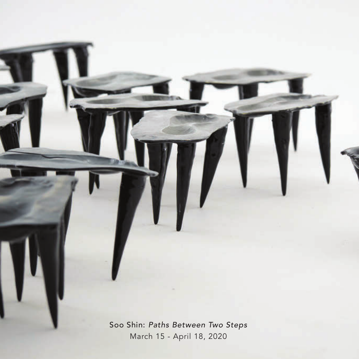Soo Shin: *Paths Between Two Steps* March 15 - April 18, 2020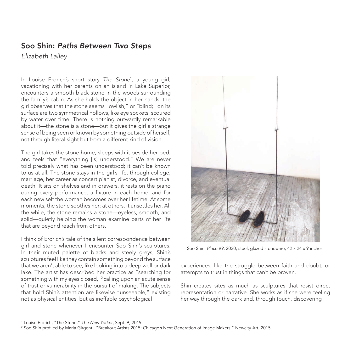## Soo Shin: *Paths Between Two Steps*

*Elizabeth Lalley*

In Louise Erdrich's short story *The Stone*<sup>1</sup> , a young girl, vacationing with her parents on an island in Lake Superior, encounters a smooth black stone in the woods surrounding the family's cabin. As she holds the object in her hands, the girl observes that the stone seems "owlish," or "blind;" on its surface are two symmetrical hollows, like eye sockets, scoured by water over time. There is nothing outwardly remarkable about it—the stone is a stone—but it gives the girl a strange sense of being seen or known by something outside of herself, not through literal sight but from a different kind of vision.

The girl takes the stone home, sleeps with it beside her bed, and feels that "everything [is] understood." We are never told precisely what has been understood; it can't be known to us at all. The stone stays in the girl's life, through college, marriage, her career as concert pianist, divorce, and eventual death. It sits on shelves and in drawers, it rests on the piano during every performance, a fixture in each home, and for each new self the woman becomes over her lifetime. At some moments, the stone soothes her; at others, it unsettles her. All the while, the stone remains a stone—eyeless, smooth, and solid—quietly helping the woman examine parts of her life that are beyond reach from others.

I think of Erdrich's tale of the silent correspondence between girl and stone whenever I encounter Soo Shin's sculptures. In their muted palette of blacks and steely greys, Shin's sculptures feel like they contain something beyond the surface that we aren't able to see, like looking into a deep well or dark lake. The artist has described her practice as "searching for something with my eyes closed, "<sup>2</sup> calling upon an acute sense of trust or vulnerability in the pursuit of making. The subjects that hold Shin's attention are likewise "unseeable," existing not as physical entities, but as ineffable psychological



Soo Shin, *Place #9*, 2020, steel, glazed stoneware, 42 x 24 x 9 inches.

experiences, like the struggle between faith and doubt, or attempts to trust in things that can't be proven.

Shin creates sites as much as sculptures that resist direct representation or narrative. She works as if she were feeling her way through the dark and, through touch, discovering

<sup>1</sup> Louise Erdrich, "The Stone," *The New Yorker*, Sept. 9, 2019.

<sup>2</sup> Soo Shin profiled by Maria Girgenti, "Breakout Artists 2015: Chicago's Next Generation of Image Makers," Newcity Art, 2015.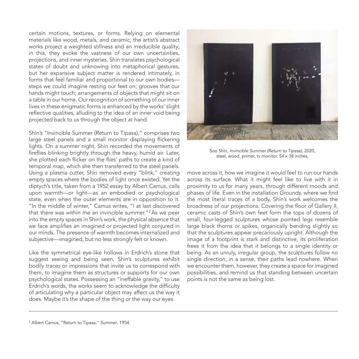certain motions, textures, or forms. Relying on elemental materials like wood, metals, and ceramic, the artist's abstract works project a weighted stillness and an irreducible quality; in this, they evoke the vastness of our own uncertainties, projections, and inner mysteries. Shin translates psychological states of doubt and unknowing into metaphorical gestures, but her expansive subject matter is rendered intimately, in forms that feel familiar and proportional to our own bodies steps we could imagine resting our feet on; grooves that our hands might touch; arrangements of objects that might sit on a table in our home. Our recognition of something of our inner lives in these enigmatic forms is enhanced by the works' slight reflective qualities, alluding to the idea of an inner void being projected back to us through the object at hand.

Shin's "Invincible Summer (Return to Tipasa)," comprises two large steel panels and a small monitor displaying flickering lights. On a summer night, Shin recorded the movements of fireflies blinking brightly through the heavy, humid air. Later, she plotted each flicker on the flies' paths to create a kind of temporal map, which she then transferred to the steel panels. Using a plasma cutter, Shin removed every "blink," creating empty spaces where the bodies of light once existed. Yet the diptych's title, taken from a 1952 essay by Albert Camus, calls upon warmth—or light—as an embodied or psychological state, even when the outer elements are in opposition to it. "In the middle of winter," Camus writes, "I at last discovered that there was within me an invincible summer."3 As we peer into the empty spaces in Shin's work, the physical absence that we face amplifies an imagined or projected light conjured in our minds. The presence of warmth becomes internalized and subjective—imagined, but no less strongly felt or known.

Like the symmetrical eye-like hollows in Erdrich's stone that suggest seeing and being seen, Shin's sculptures exhibit bodily traces or impressions that invite us to correspond with them, to imagine them as structures or supports for our own psychological states. Possessing an "ineffable gravity," to use Erdrich's words, the works seem to acknowledge the difficulty of articulating why a particular object may affect us the way it does. Maybe it's the shape of the thing or the way our eyes



Soo Shin, *Invincible Summer (Return to Tipasa)*, 2020, steel, wood, primer, tv monitor, 54 x 38 inches.

move across it, how we imagine it would feel to run our hands across its surface. What it might feel like to live with it in proximity to us for many years, through different moods and phases of life. Even in the installation *Grounds*, where we find the most literal traces of a body, Shin's work welcomes the broadness of our projections. Covering the floor of Gallery II, ceramic casts of Shin's own feet form the tops of dozens of small, four-legged sculptures whose pointed legs resemble large black thorns or spikes, organically bending slightly so that the sculptures appear precariously upright. Although the image of a footprint is stark and distinctive, its proliferation frees it from the idea that it belongs to a single identity or being. As an unruly, irregular group, the sculptures follow no single direction; in a sense, their paths lead nowhere. When we encounter them, however, they create a space for imagined possibilities, and remind us that standing between uncertain points is not the same as being lost.

<sup>3</sup> Albert Camus, "Return to Tipasa," *Summer*, 1954.